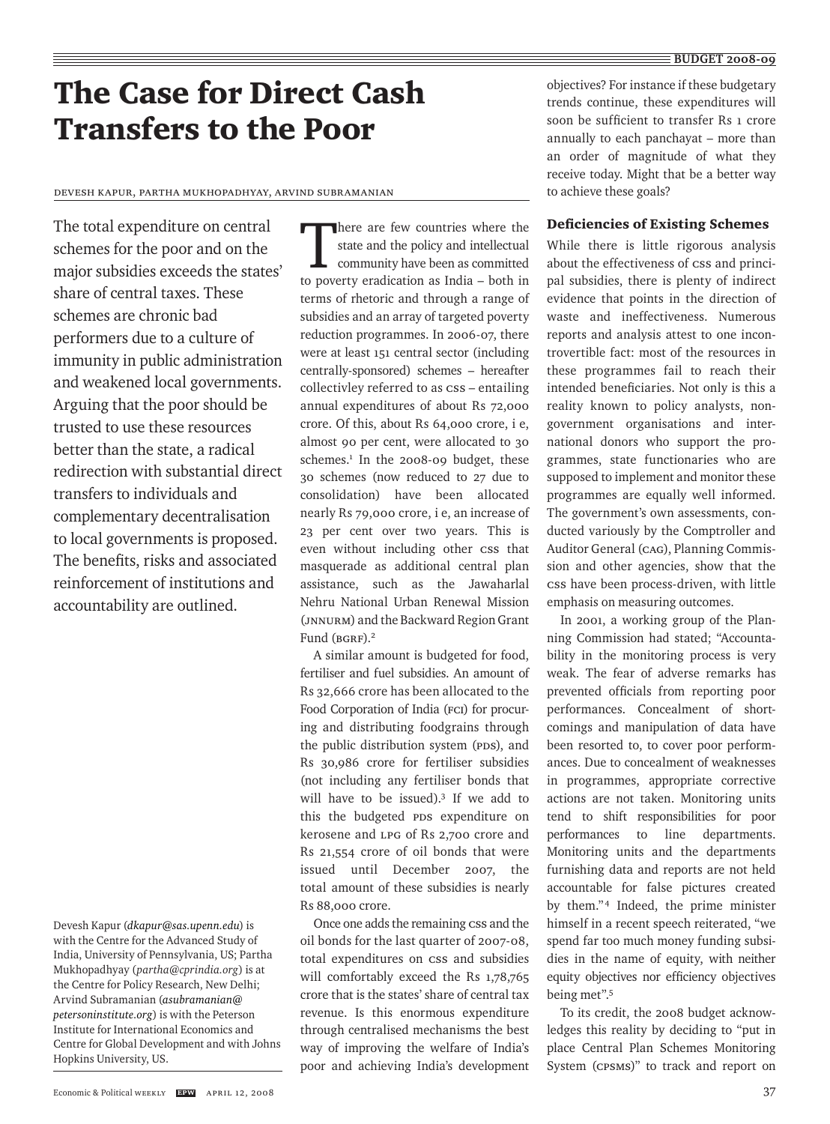# The Case for Direct Cash Transfers to the Poor

Devesh Kapur, Partha Mukhopadhyay, Arvind Subramanian

The total expenditure on central schemes for the poor and on the major subsidies exceeds the states' share of central taxes. These schemes are chronic bad performers due to a culture of immunity in public administration and weakened local governments. Arguing that the poor should be trusted to use these resources better than the state, a radical redirection with substantial direct transfers to individuals and complementary decentralisation to local governments is proposed. The benefits, risks and associated reinforcement of institutions and accountability are outlined.

There are few countries where the state and the policy and intellectual community have been as committed to poverty eradication as India – both in terms of rhetoric and through a range of subsidies and an array of targeted poverty reduction programmes. In 2006-07, there were at least 151 central sector (including centrally-sponsored) schemes – hereafter collectivley referred to as  $\text{css}$  – entailing annual expenditures of about Rs 72,000 crore. Of this, about Rs 64,000 crore, i e, almost 90 per cent, were allocated to 30 schemes.<sup>1</sup> In the 2008-09 budget, these 30 schemes (now reduced to 27 due to consolidation) have been allocated nearly Rs 79,000 crore, i e, an increase of 23 per cent over two years. This is even without including other css that masquerade as additional central plan assistance, such as the Jawaharlal Nehru National Urban Renewal Mission (JNNURM) and the Backward Region Grant Fund (BGRF).2

A similar amount is budgeted for food, fertiliser and fuel subsidies. An amount of Rs 32,666 crore has been allocated to the Food Corporation of India (FCI) for procuring and distributing foodgrains through the public distribution system (PDS), and Rs 30,986 crore for fertiliser subsidies (not including any fertiliser bonds that will have to be issued).3 If we add to this the budgeted PDS expenditure on kerosene and LPG of Rs 2,700 crore and Rs 21,554 crore of oil bonds that were issued until December 2007, the total amount of these subsidies is nearly Rs 88,000 crore.

Once one adds the remaining css and the oil bonds for the last quarter of 2007-08, total expenditures on CSS and subsidies will comfortably exceed the Rs 1,78,765 crore that is the states' share of central tax revenue. Is this enormous expenditure through centralised mechanisms the best way of improving the welfare of India's poor and achieving India's development

objectives? For instance if these budgetary trends continue, these expenditures will soon be sufficient to transfer Rs 1 crore annually to each panchayat – more than an order of magnitude of what they receive today. Might that be a better way to achieve these goals?

## Deficiencies of Existing Schemes

While there is little rigorous analysis about the effectiveness of css and principal subsidies, there is plenty of indirect evidence that points in the direction of waste and ineffectiveness. Numerous reports and analysis attest to one incontrovertible fact: most of the resources in these programmes fail to reach their intended beneficiaries. Not only is this a reality known to policy analysts, nongovernment organisations and international donors who support the programmes, state functionaries who are supposed to implement and monitor these programmes are equally well informed. The government's own assessments, conducted variously by the Comptroller and Auditor General (CAG), Planning Commission and other agencies, show that the CSS have been process-driven, with little emphasis on measuring outcomes.

In 2001, a working group of the Planning Commission had stated; "Accountability in the monitoring process is very weak. The fear of adverse remarks has prevented officials from reporting poor performances. Concealment of shortcomings and manipulation of data have been resorted to, to cover poor performances. Due to concealment of weaknesses in programmes, appropriate corrective actions are not taken. Monitoring units tend to shift responsibilities for poor performances to line departments. Monitoring units and the departments furnishing data and reports are not held accountable for false pictures created by them."<sup>4</sup> Indeed, the prime minister himself in a recent speech reiterated, "we spend far too much money funding subsidies in the name of equity, with neither equity objectives nor efficiency objectives being met".5

To its credit, the 2008 budget acknowledges this reality by deciding to "put in place Central Plan Schemes Monitoring System (CPSMS)" to track and report on

Devesh Kapur (*dkapur@sas.upenn.edu*) is with the Centre for the Advanced Study of India, University of Pennsylvania, US; Partha Mukhopadhyay (*partha@cprindia.org*) is at the Centre for Policy Research, New Delhi; Arvind Subramanian (*asubramanian@ petersoninstitute.org*) is with the Peterson Institute for International Economics and Centre for Global Development and with Johns Hopkins University, US.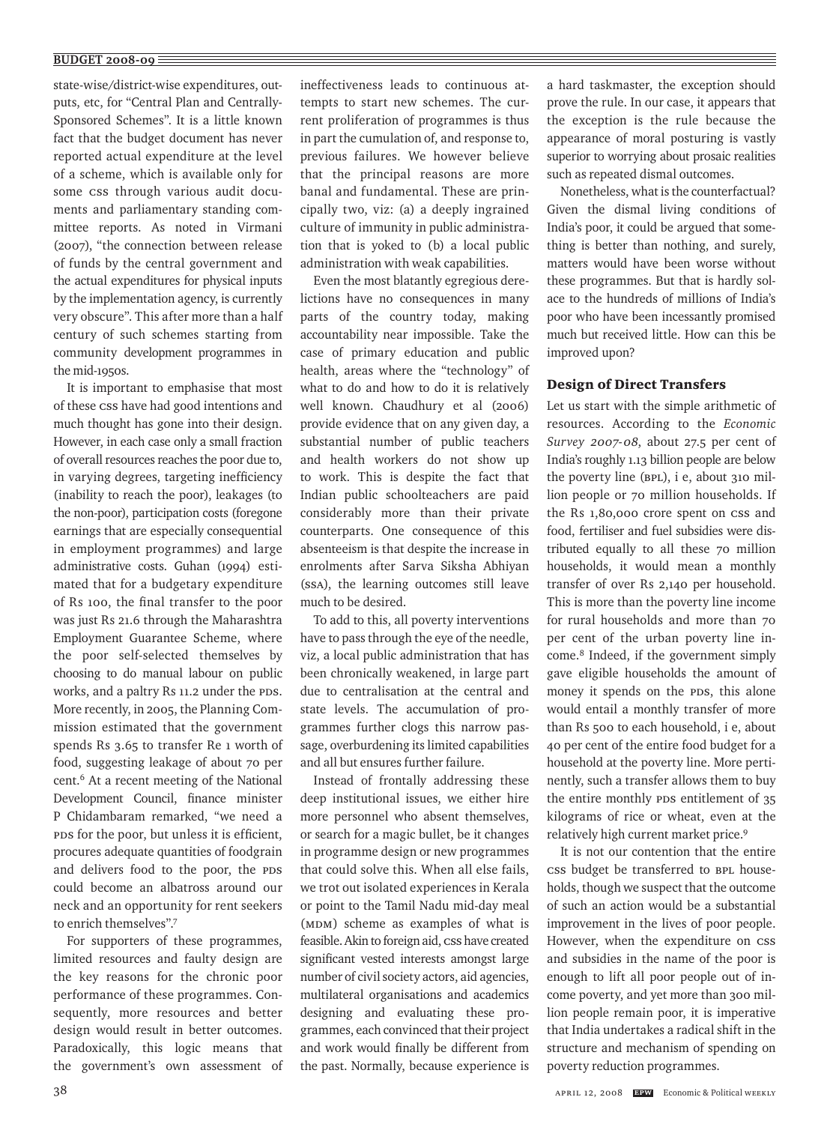#### $\overline{BUDGET 2008-09}$

state-wise/district-wise expenditures, outputs, etc, for "Central Plan and Centrally-Sponsored Schemes". It is a little known fact that the budget document has never reported actual expenditure at the level of a scheme, which is available only for some css through various audit documents and parliamentary standing committee reports. As noted in Virmani (2007), "the connection between release of funds by the central government and the actual expenditures for physical inputs by the implementation agency, is currently very obscure". This after more than a half century of such schemes starting from community development programmes in the mid-1950s.

It is important to emphasise that most of these CSS have had good intentions and much thought has gone into their design. However, in each case only a small fraction of overall resources reaches the poor due to, in varying degrees, targeting inefficiency (inability to reach the poor), leakages (to the non-poor), participation costs (foregone earnings that are especially consequential in employment programmes) and large administrative costs. Guhan (1994) estimated that for a budgetary expenditure of Rs 100, the final transfer to the poor was just Rs 21.6 through the Maharashtra Employment Guarantee Scheme, where the poor self-selected themselves by choosing to do manual labour on public works, and a paltry Rs 11.2 under the PDS. More recently, in 2005, the Planning Commission estimated that the government spends Rs 3.65 to transfer Re 1 worth of food, suggesting leakage of about 70 per cent.6 At a recent meeting of the National Development Council, finance minister P Chidambaram remarked, "we need a PDS for the poor, but unless it is efficient, procures adequate quantities of foodgrain and delivers food to the poor, the PDS could become an albatross around our neck and an opportunity for rent seekers to enrich themselves".7

For supporters of these programmes, limited resources and faulty design are the key reasons for the chronic poor performance of these programmes. Consequently, more resources and better design would result in better outcomes. Paradoxically, this logic means that the government's own assessment of

ineffectiveness leads to continuous attempts to start new schemes. The current proliferation of programmes is thus in part the cumulation of, and response to, previous failures. We however believe that the principal reasons are more banal and fundamental. These are principally two, viz: (a) a deeply ingrained culture of immunity in public administration that is yoked to (b) a local public administration with weak capabilities.

Even the most blatantly egregious derelictions have no consequences in many parts of the country today, making accountability near impossible. Take the case of primary education and public health, areas where the "technology" of what to do and how to do it is relatively well known. Chaudhury et al (2006) provide evidence that on any given day, a substantial number of public teachers and health workers do not show up to work. This is despite the fact that Indian public schoolteachers are paid considerably more than their private counterparts. One consequence of this absenteeism is that despite the increase in enrolments after Sarva Siksha Abhiyan (SSA), the learning outcomes still leave much to be desired.

To add to this, all poverty interventions have to pass through the eye of the needle, viz, a local public administration that has been chronically weakened, in large part due to centralisation at the central and state levels. The accumulation of programmes further clogs this narrow passage, overburdening its limited capabilities and all but ensures further failure.

Instead of frontally addressing these deep institutional issues, we either hire more personnel who absent themselves, or search for a magic bullet, be it changes in programme design or new programmes that could solve this. When all else fails, we trot out isolated experiences in Kerala or point to the Tamil Nadu mid-day meal (MDM) scheme as examples of what is feasible. Akin to foreign aid, css have created significant vested interests amongst large number of civil society actors, aid agencies, multilateral organisations and academics designing and evaluating these programmes, each convinced that their project and work would finally be different from the past. Normally, because experience is a hard taskmaster, the exception should prove the rule. In our case, it appears that the exception is the rule because the appearance of moral posturing is vastly superior to worrying about prosaic realities such as repeated dismal outcomes.

Nonetheless, what is the counterfactual? Given the dismal living conditions of India's poor, it could be argued that something is better than nothing, and surely, matters would have been worse without these programmes. But that is hardly solace to the hundreds of millions of India's poor who have been incessantly promised much but received little. How can this be improved upon?

## Design of Direct Transfers

Let us start with the simple arithmetic of resources. According to the *Economic Survey 2007-08*, about 27.5 per cent of India's roughly 1.13 billion people are below the poverty line (BPL), i e, about 310 million people or 70 million households. If the Rs 1,80,000 crore spent on css and food, fertiliser and fuel subsidies were distributed equally to all these 70 million households, it would mean a monthly transfer of over Rs 2,140 per household. This is more than the poverty line income for rural households and more than 70 per cent of the urban poverty line income.8 Indeed, if the government simply gave eligible households the amount of money it spends on the PDS, this alone would entail a monthly transfer of more than Rs 500 to each household, i e, about 40 per cent of the entire food budget for a household at the poverty line. More pertinently, such a transfer allows them to buy the entire monthly PDS entitlement of 35 kilograms of rice or wheat, even at the relatively high current market price.9

It is not our contention that the entire CSS budget be transferred to BPL households, though we suspect that the outcome of such an action would be a substantial improvement in the lives of poor people. However, when the expenditure on css and subsidies in the name of the poor is enough to lift all poor people out of income poverty, and yet more than 300 million people remain poor, it is imperative that India undertakes a radical shift in the structure and mechanism of spending on poverty reduction programmes.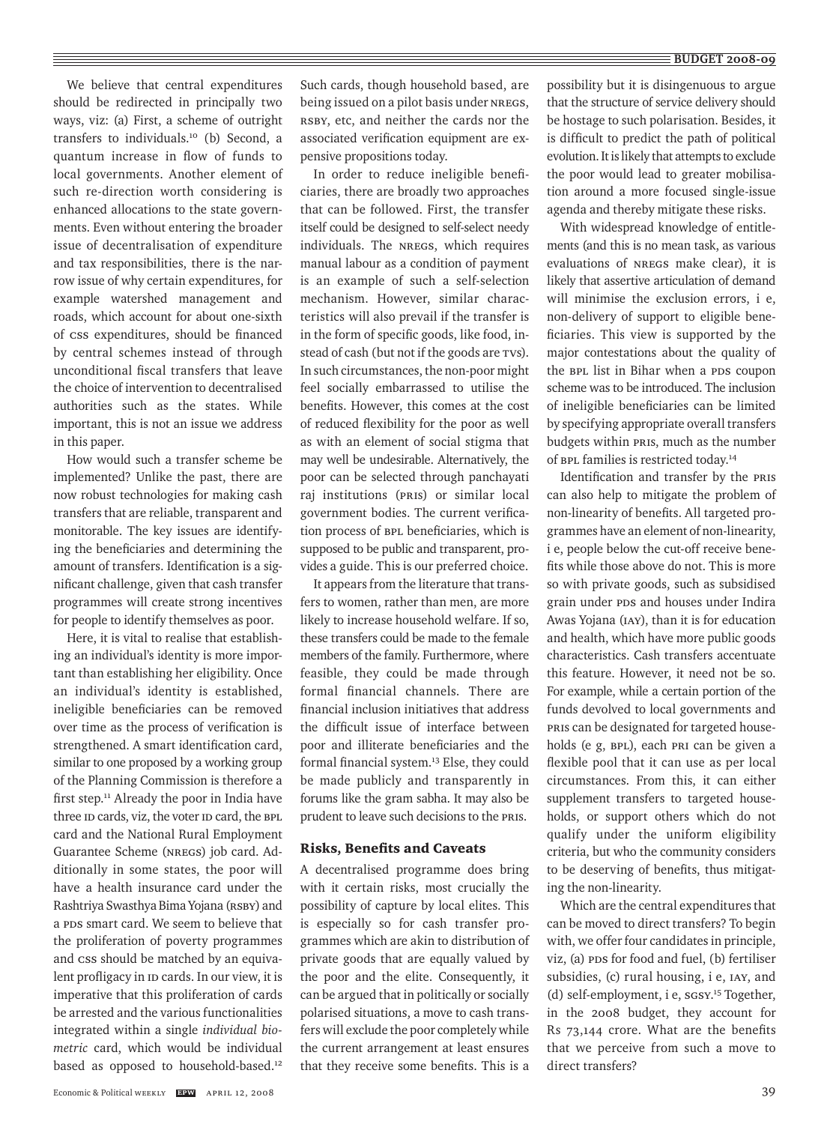## $\equiv$  BUDGET 2008-09

We believe that central expenditures should be redirected in principally two ways, viz: (a) First, a scheme of outright transfers to individuals.10 (b) Second, a quantum increase in flow of funds to local governments. Another element of such re-direction worth considering is enhanced allocations to the state governments. Even without entering the broader issue of decentralisation of expenditure and tax responsibilities, there is the narrow issue of why certain expenditures, for example watershed management and roads, which account for about one-sixth of CSS expenditures, should be financed by central schemes instead of through unconditional fiscal transfers that leave the choice of intervention to decentralised authorities such as the states. While important, this is not an issue we address in this paper.

How would such a transfer scheme be implemented? Unlike the past, there are now robust technologies for making cash transfers that are reliable, transparent and monitorable. The key issues are identifying the beneficiaries and determining the amount of transfers. Identification is a significant challenge, given that cash transfer programmes will create strong incentives for people to identify themselves as poor.

Here, it is vital to realise that establishing an individual's identity is more important than establishing her eligibility. Once an individual's identity is established, ineligible beneficiaries can be removed over time as the process of verification is strengthened. A smart identification card, similar to one proposed by a working group of the Planning Commission is therefore a first step.<sup>11</sup> Already the poor in India have three ID cards, viz, the voter ID card, the BPL card and the National Rural Employment Guarantee Scheme (NREGS) job card. Additionally in some states, the poor will have a health insurance card under the Rashtriya Swasthya Bima Yojana (RSBY) and a PDS smart card. We seem to believe that the proliferation of poverty programmes and CSS should be matched by an equivalent profligacy in ID cards. In our view, it is imperative that this proliferation of cards be arrested and the various functionalities integrated within a single *individual biometric* card, which would be individual based as opposed to household-based.<sup>12</sup>

Such cards, though household based, are being issued on a pilot basis under NREGS, RSBY, etc, and neither the cards nor the associated verification equipment are expensive propositions today.

In order to reduce ineligible beneficiaries, there are broadly two approaches that can be followed. First, the transfer itself could be designed to self-select needy individuals. The NREGS, which requires manual labour as a condition of payment is an example of such a self-selection mechanism. However, similar characteristics will also prevail if the transfer is in the form of specific goods, like food, instead of cash (but not if the goods are TVs). In such circumstances, the non-poor might feel socially embarrassed to utilise the benefits. However, this comes at the cost of reduced flexibility for the poor as well as with an element of social stigma that may well be undesirable. Alternatively, the poor can be selected through panchayati raj institutions (PRIs) or similar local government bodies. The current verification process of BPL beneficiaries, which is supposed to be public and transparent, provides a guide. This is our preferred choice.

It appears from the literature that transfers to women, rather than men, are more likely to increase household welfare. If so, these transfers could be made to the female members of the family. Furthermore, where feasible, they could be made through formal financial channels. There are financial inclusion initiatives that address the difficult issue of interface between poor and illiterate beneficiaries and the formal financial system.13 Else, they could be made publicly and transparently in forums like the gram sabha. It may also be prudent to leave such decisions to the PRIs.

## Risks, Benefits and Caveats

A decentralised programme does bring with it certain risks, most crucially the possibility of capture by local elites. This is especially so for cash transfer programmes which are akin to distribution of private goods that are equally valued by the poor and the elite. Consequently, it can be argued that in politically or socially polarised situations, a move to cash transfers will exclude the poor completely while the current arrangement at least ensures that they receive some benefits. This is a possibility but it is disingenuous to argue that the structure of service delivery should be hostage to such polarisation. Besides, it is difficult to predict the path of political evolution. It is likely that attempts to exclude the poor would lead to greater mobilisation around a more focused single-issue agenda and thereby mitigate these risks.

With widespread knowledge of entitlements (and this is no mean task, as various evaluations of NREGS make clear), it is likely that assertive articulation of demand will minimise the exclusion errors, i e, non-delivery of support to eligible beneficiaries. This view is supported by the major contestations about the quality of the BPL list in Bihar when a PDS coupon scheme was to be introduced. The inclusion of ineligible beneficiaries can be limited by specifying appropriate overall transfers budgets within PRIs, much as the number of BPL families is restricted today.14

Identification and transfer by the PRIs can also help to mitigate the problem of non-linearity of benefits. All targeted programmes have an element of non-linearity, i e, people below the cut-off receive benefits while those above do not. This is more so with private goods, such as subsidised grain under PDS and houses under Indira Awas Yojana (IAY), than it is for education and health, which have more public goods characteristics. Cash transfers accentuate this feature. However, it need not be so. For example, while a certain portion of the funds devolved to local governments and PRIs can be designated for targeted households (e g, BPL), each PRI can be given a flexible pool that it can use as per local circumstances. From this, it can either supplement transfers to targeted households, or support others which do not qualify under the uniform eligibility criteria, but who the community considers to be deserving of benefits, thus mitigating the non-linearity.

Which are the central expenditures that can be moved to direct transfers? To begin with, we offer four candidates in principle, viz, (a) PDS for food and fuel, (b) fertiliser subsidies, (c) rural housing, i e, IAY, and (d) self-employment, i e, SGSY. 15 Together, in the 2008 budget, they account for Rs 73,144 crore. What are the benefits that we perceive from such a move to direct transfers?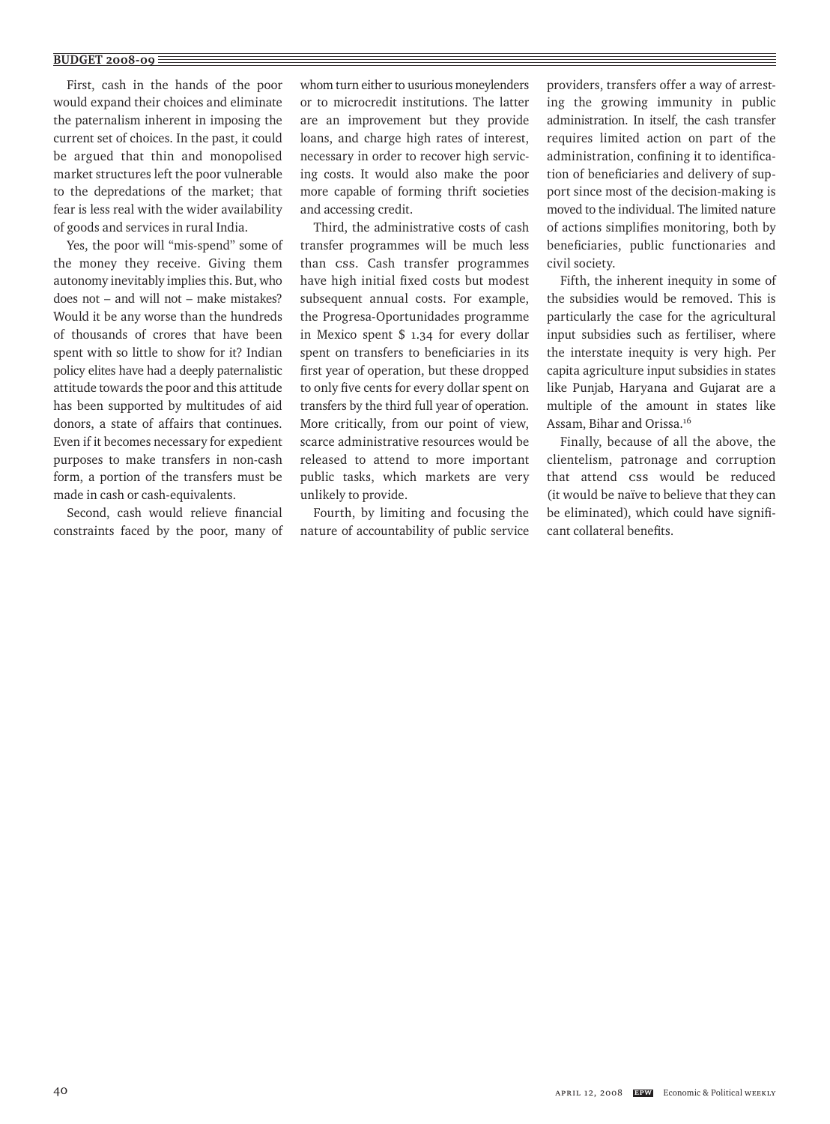## **BUDGET 2008-09**

First, cash in the hands of the poor would expand their choices and eliminate the paternalism inherent in imposing the current set of choices. In the past, it could be argued that thin and monopolised market structures left the poor vulnerable to the depredations of the market; that fear is less real with the wider availability of goods and services in rural India.

Yes, the poor will "mis-spend" some of the money they receive. Giving them autonomy inevitably implies this. But, who does not – and will not – make mistakes? Would it be any worse than the hundreds of thousands of crores that have been spent with so little to show for it? Indian policy elites have had a deeply paternalistic attitude towards the poor and this attitude has been supported by multitudes of aid donors, a state of affairs that continues. Even if it becomes necessary for expedient purposes to make transfers in non-cash form, a portion of the transfers must be made in cash or cash-equivalents.

Second, cash would relieve financial constraints faced by the poor, many of whom turn either to usurious moneylenders or to microcredit institutions. The latter are an improvement but they provide loans, and charge high rates of interest, necessary in order to recover high servicing costs. It would also make the poor more capable of forming thrift societies and accessing credit.

Third, the administrative costs of cash transfer programmes will be much less than CSS. Cash transfer programmes have high initial fixed costs but modest subsequent annual costs. For example, the Progresa-Oportunidades programme in Mexico spent \$ 1.34 for every dollar spent on transfers to beneficiaries in its first year of operation, but these dropped to only five cents for every dollar spent on transfers by the third full year of operation. More critically, from our point of view, scarce administrative resources would be released to attend to more important public tasks, which markets are very unlikely to provide.

Fourth, by limiting and focusing the nature of accountability of public service providers, transfers offer a way of arresting the growing immunity in public administration. In itself, the cash transfer requires limited action on part of the administration, confining it to identification of beneficiaries and delivery of support since most of the decision-making is moved to the individual. The limited nature of actions simplifies monitoring, both by beneficiaries, public functionaries and civil society.

Fifth, the inherent inequity in some of the subsidies would be removed. This is particularly the case for the agricultural input subsidies such as fertiliser, where the interstate inequity is very high. Per capita agriculture input subsidies in states like Punjab, Haryana and Gujarat are a multiple of the amount in states like Assam, Bihar and Orissa.16

Finally, because of all the above, the clientelism, patronage and corruption that attend css would be reduced (it would be naïve to believe that they can be eliminated), which could have significant collateral benefits.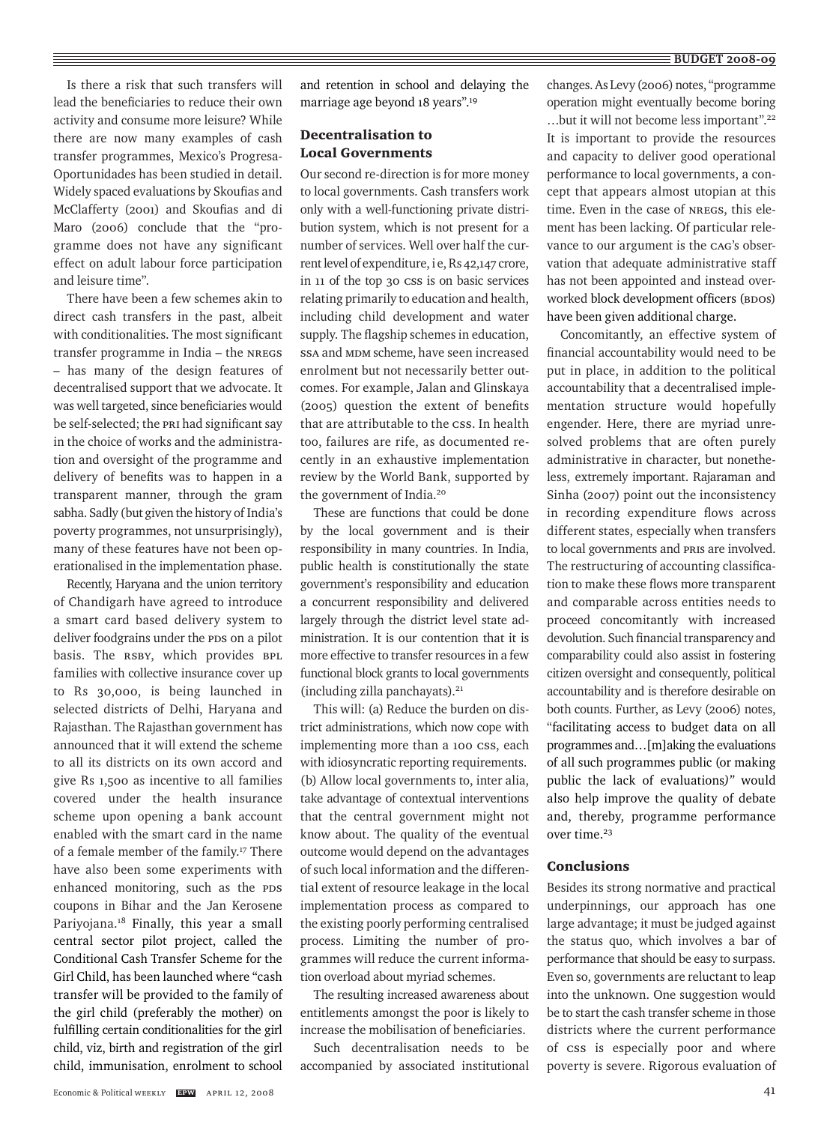Is there a risk that such transfers will lead the beneficiaries to reduce their own activity and consume more leisure? While there are now many examples of cash transfer programmes, Mexico's Progresa-Oportunidades has been studied in detail. Widely spaced evaluations by Skoufias and McClafferty (2001) and Skoufias and di Maro (2006) conclude that the "programme does not have any significant effect on adult labour force participation and leisure time".

There have been a few schemes akin to direct cash transfers in the past, albeit with conditionalities. The most significant transfer programme in India – the NREGS – has many of the design features of decentralised support that we advocate. It was well targeted, since beneficiaries would be self-selected; the PRI had significant say in the choice of works and the administration and oversight of the programme and delivery of benefits was to happen in a transparent manner, through the gram sabha. Sadly (but given the history of India's poverty programmes, not unsurprisingly), many of these features have not been operationalised in the implementation phase.

Recently, Haryana and the union territory of Chandigarh have agreed to introduce a smart card based delivery system to deliver foodgrains under the PDS on a pilot basis. The RSBY, which provides BPL families with collective insurance cover up to Rs 30,000, is being launched in selected districts of Delhi, Haryana and Rajasthan. The Rajasthan government has announced that it will extend the scheme to all its districts on its own accord and give Rs 1,500 as incentive to all families covered under the health insurance scheme upon opening a bank account enabled with the smart card in the name of a female member of the family.17 There have also been some experiments with enhanced monitoring, such as the PDS coupons in Bihar and the Jan Kerosene Pariyojana.<sup>18</sup> Finally, this year a small central sector pilot project, called the Conditional Cash Transfer Scheme for the Girl Child, has been launched where "cash transfer will be provided to the family of the girl child (preferably the mother) on fulfilling certain conditionalities for the girl child, viz, birth and registration of the girl child, immunisation, enrolment to school

and retention in school and delaying the marriage age beyond 18 years".19

# Decentralisation to Local Governments

Our second re-direction is for more money to local governments. Cash transfers work only with a well-functioning private distribution system, which is not present for a number of services. Well over half the current level of expenditure, i e, Rs 42,147 crore, in 11 of the top 30 CSS is on basic services relating primarily to education and health, including child development and water supply. The flagship schemes in education, SSA and MDM scheme, have seen increased enrolment but not necessarily better outcomes. For example, Jalan and Glinskaya (2005) question the extent of benefits that are attributable to the css. In health too, failures are rife, as documented recently in an exhaustive implementation review by the World Bank, supported by the government of India.20

These are functions that could be done by the local government and is their responsibility in many countries. In India, public health is constitutionally the state government's responsibility and education a concurrent responsibility and delivered largely through the district level state administration. It is our contention that it is more effective to transfer resources in a few functional block grants to local governments (including zilla panchayats). $21$ 

This will: (a) Reduce the burden on district administrations, which now cope with implementing more than a 100 css, each with idiosyncratic reporting requirements. (b) Allow local governments to, inter alia, take advantage of contextual interventions that the central government might not know about. The quality of the eventual outcome would depend on the advantages of such local information and the differential extent of resource leakage in the local implementation process as compared to the existing poorly performing centralised process. Limiting the number of programmes will reduce the current information overload about myriad schemes.

The resulting increased awareness about entitlements amongst the poor is likely to increase the mobilisation of beneficiaries.

Such decentralisation needs to be accompanied by associated institutional changes. As Levy (2006) notes, "programme operation might eventually become boring …but it will not become less important".22 It is important to provide the resources and capacity to deliver good operational performance to local governments, a concept that appears almost utopian at this time. Even in the case of NREGS, this element has been lacking. Of particular relevance to our argument is the CAG's observation that adequate administrative staff has not been appointed and instead overworked block development officers (BDOs) have been given additional charge.

Concomitantly, an effective system of financial accountability would need to be put in place, in addition to the political accountability that a decentralised implementation structure would hopefully engender. Here, there are myriad unresolved problems that are often purely administrative in character, but nonetheless, extremely important. Rajaraman and Sinha (2007) point out the inconsistency in recording expenditure flows across different states, especially when transfers to local governments and PRIs are involved. The restructuring of accounting classification to make these flows more transparent and comparable across entities needs to proceed concomitantly with increased devolution. Such financial transparency and comparability could also assist in fostering citizen oversight and consequently, political accountability and is therefore desirable on both counts. Further, as Levy (2006) notes, "facilitating access to budget data on all programmes and…[m]aking the evaluations of all such programmes public (or making public the lack of evaluations*)"* would also help improve the quality of debate and, thereby, programme performance over time.23

# Conclusions

Besides its strong normative and practical underpinnings, our approach has one large advantage; it must be judged against the status quo, which involves a bar of performance that should be easy to surpass. Even so, governments are reluctant to leap into the unknown. One suggestion would be to start the cash transfer scheme in those districts where the current performance of CSS is especially poor and where poverty is severe. Rigorous evaluation of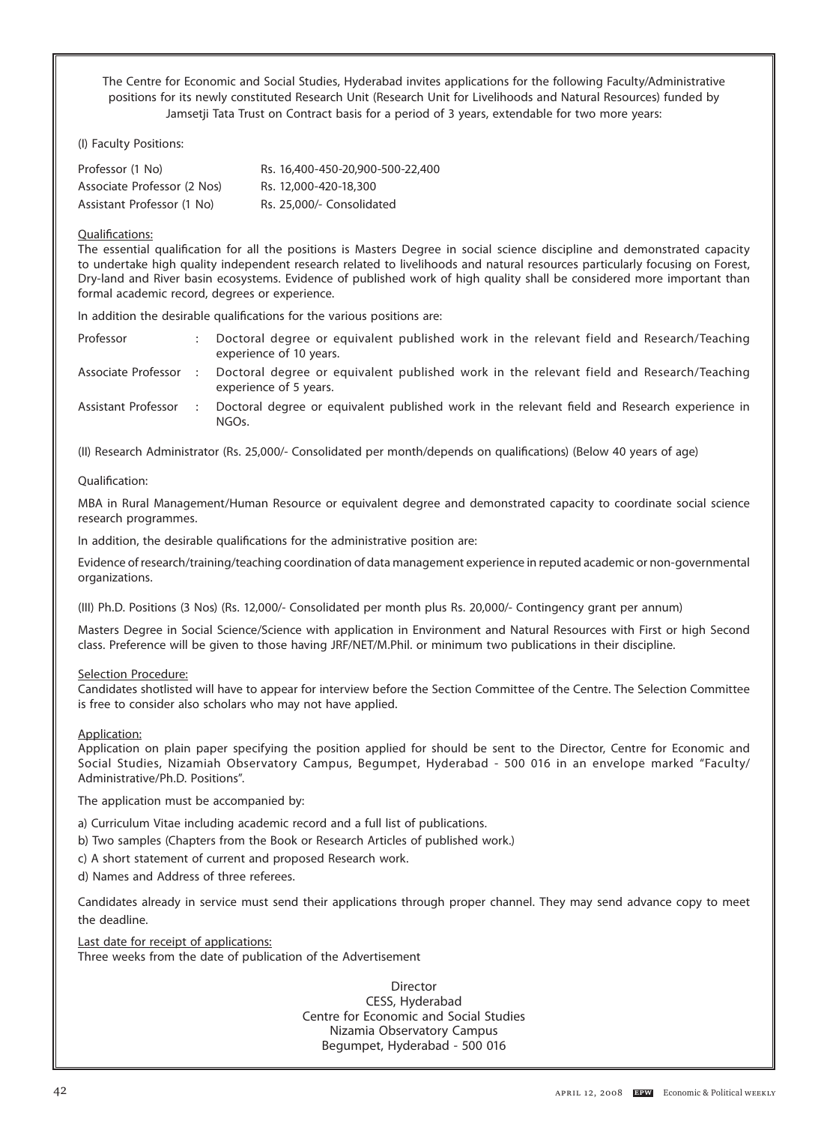The Centre for Economic and Social Studies, Hyderabad invites applications for the following Faculty/Administrative positions for its newly constituted Research Unit (Research Unit for Livelihoods and Natural Resources) funded by Jamsetji Tata Trust on Contract basis for a period of 3 years, extendable for two more years:

(I) Faculty Positions:

**budget 2008-09-09** 

| Professor (1 No)            | Rs. 16,400-450-20,900-500-22,400 |
|-----------------------------|----------------------------------|
| Associate Professor (2 Nos) | Rs. 12,000-420-18,300            |
| Assistant Professor (1 No)  | Rs. 25,000/- Consolidated        |

## Qualifications:

The essential qualification for all the positions is Masters Degree in social science discipline and demonstrated capacity to undertake high quality independent research related to livelihoods and natural resources particularly focusing on Forest, Dry-land and River basin ecosystems. Evidence of published work of high quality shall be considered more important than formal academic record, degrees or experience.

In addition the desirable qualifications for the various positions are:

| Professor           | Doctoral degree or equivalent published work in the relevant field and Research/Teaching<br>experience of 10 years. |
|---------------------|---------------------------------------------------------------------------------------------------------------------|
| Associate Professor | Doctoral degree or equivalent published work in the relevant field and Research/Teaching<br>experience of 5 years.  |
| Assistant Professor | Doctoral degree or equivalent published work in the relevant field and Research experience in<br>NGOs.              |

(II) Research Administrator (Rs. 25,000/- Consolidated per month/depends on qualifications) (Below 40 years of age)

## Qualification:

MBA in Rural Management/Human Resource or equivalent degree and demonstrated capacity to coordinate social science research programmes.

In addition, the desirable qualifications for the administrative position are:

Evidence of research/training/teaching coordination of data management experience in reputed academic or non-governmental organizations.

(III) Ph.D. Positions (3 Nos) (Rs. 12,000/- Consolidated per month plus Rs. 20,000/- Contingency grant per annum)

Masters Degree in Social Science/Science with application in Environment and Natural Resources with First or high Second class. Preference will be given to those having JRF/NET/M.Phil. or minimum two publications in their discipline.

## Selection Procedure:

Candidates shotlisted will have to appear for interview before the Section Committee of the Centre. The Selection Committee is free to consider also scholars who may not have applied.

Application:

Application on plain paper specifying the position applied for should be sent to the Director, Centre for Economic and Social Studies, Nizamiah Observatory Campus, Begumpet, Hyderabad - 500 016 in an envelope marked "Faculty/ Administrative/Ph.D. Positions".

The application must be accompanied by:

a) Curriculum Vitae including academic record and a full list of publications.

- b) Two samples (Chapters from the Book or Research Articles of published work.)
- c) A short statement of current and proposed Research work.
- d) Names and Address of three referees.

Candidates already in service must send their applications through proper channel. They may send advance copy to meet the deadline.

Last date for receipt of applications: Three weeks from the date of publication of the Advertisement

> **Director** CESS, Hyderabad Centre for Economic and Social Studies Nizamia Observatory Campus Begumpet, Hyderabad - 500 016